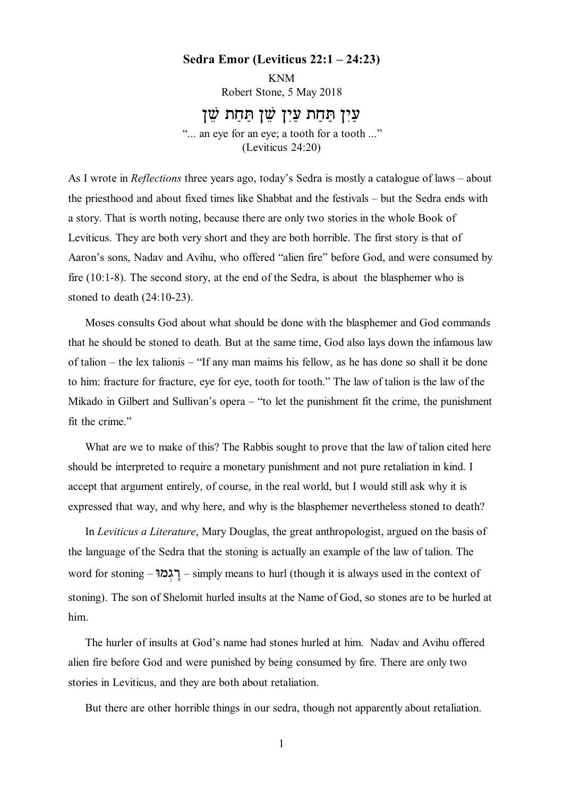## **Sedra Emor (Leviticus 22:1 – 24:23)**

KNM Robert Stone, 5 May 2018

## .<br>עיז תחת עיז שז תחת שז

"... an eye for an eye; a tooth for a tooth ..." (Leviticus 24:20)

As I wrote in *Reflections* three years ago, today's Sedra is mostly a catalogue of laws – about the priesthood and about fixed times like Shabbat and the festivals – but the Sedra ends with a story. That is worth noting, because there are only two stories in the whole Book of Leviticus. They are both very short and they are both horrible. The first story is that of Aaron's sons, Nadav and Avihu, who offered "alien fire" before God, and were consumed by fire (10:1-8). The second story, at the end of the Sedra, is about the blasphemer who is stoned to death (24:10-23).

Moses consults God about what should be done with the blasphemer and God commands that he should be stoned to death. But at the same time, God also lays down the infamous law of talion – the lex talionis – "If any man maims his fellow, as he has done so shall it be done to him: fracture for fracture, eye for eye, tooth for tooth." The law of talion is the law of the Mikado in Gilbert and Sullivan's opera – "to let the punishment fit the crime, the punishment fit the crime."

What are we to make of this? The Rabbis sought to prove that the law of talion cited here should be interpreted to require a monetary punishment and not pure retaliation in kind. I accept that argument entirely, of course, in the real world, but I would still ask why it is expressed that way, and why here, and why is the blasphemer nevertheless stoned to death?

In *Leviticus a Literature*, Mary Douglas, the great anthropologist, argued on the basis of the language of the Sedra that the stoning is actually an example of the law of talion. The word for stoning – רַגְמוּ – simply means to hurl (though it is always used in the context of stoning). The son of Shelomit hurled insults at the Name of God, so stones are to be hurled at him.

The hurler of insults at God's name had stones hurled at him. Nadav and Avihu offered alien fire before God and were punished by being consumed by fire. There are only two stories in Leviticus, and they are both about retaliation.

But there are other horrible things in our sedra, though not apparently about retaliation.

1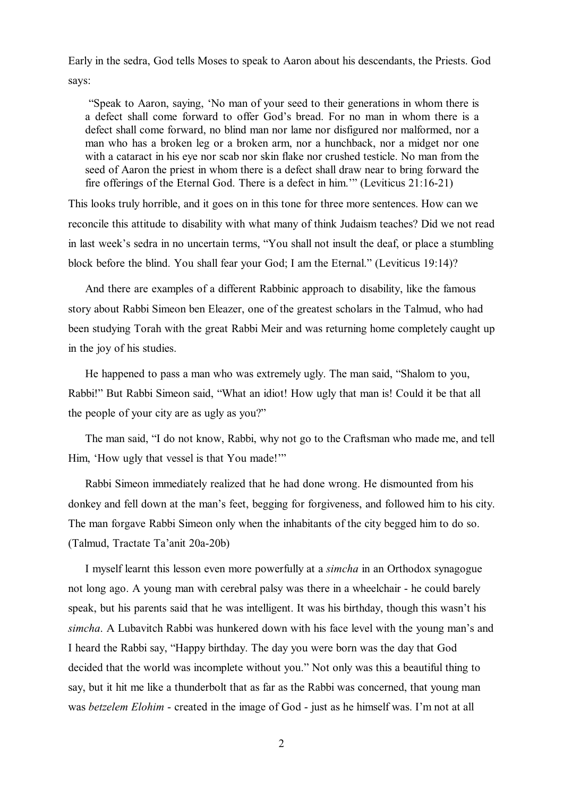Early in the sedra, God tells Moses to speak to Aaron about his descendants, the Priests. God says:

 "Speak to Aaron, saying, 'No man of your seed to their generations in whom there is a defect shall come forward to offer God's bread. For no man in whom there is a defect shall come forward, no blind man nor lame nor disfigured nor malformed, nor a man who has a broken leg or a broken arm, nor a hunchback, nor a midget nor one with a cataract in his eye nor scab nor skin flake nor crushed testicle. No man from the seed of Aaron the priest in whom there is a defect shall draw near to bring forward the fire offerings of the Eternal God. There is a defect in him.'" (Leviticus 21:16-21)

This looks truly horrible, and it goes on in this tone for three more sentences. How can we reconcile this attitude to disability with what many of think Judaism teaches? Did we not read in last week's sedra in no uncertain terms, "You shall not insult the deaf, or place a stumbling block before the blind. You shall fear your God; I am the Eternal." (Leviticus 19:14)?

And there are examples of a different Rabbinic approach to disability, like the famous story about Rabbi Simeon ben Eleazer, one of the greatest scholars in the Talmud, who had been studying Torah with the great Rabbi Meir and was returning home completely caught up in the joy of his studies.

He happened to pass a man who was extremely ugly. The man said, "Shalom to you, Rabbi!" But Rabbi Simeon said, "What an idiot! How ugly that man is! Could it be that all the people of your city are as ugly as you?"

The man said, "I do not know, Rabbi, why not go to the Craftsman who made me, and tell Him, 'How ugly that vessel is that You made!'"

Rabbi Simeon immediately realized that he had done wrong. He dismounted from his donkey and fell down at the man's feet, begging for forgiveness, and followed him to his city. The man forgave Rabbi Simeon only when the inhabitants of the city begged him to do so. (Talmud, Tractate Ta'anit 20a-20b)

I myself learnt this lesson even more powerfully at a *simcha* in an Orthodox synagogue not long ago. A young man with cerebral palsy was there in a wheelchair - he could barely speak, but his parents said that he was intelligent. It was his birthday, though this wasn't his *simcha*. A Lubavitch Rabbi was hunkered down with his face level with the young man's and I heard the Rabbi say, "Happy birthday. The day you were born was the day that God decided that the world was incomplete without you." Not only was this a beautiful thing to say, but it hit me like a thunderbolt that as far as the Rabbi was concerned, that young man was *betzelem Elohim* - created in the image of God - just as he himself was. I'm not at all

2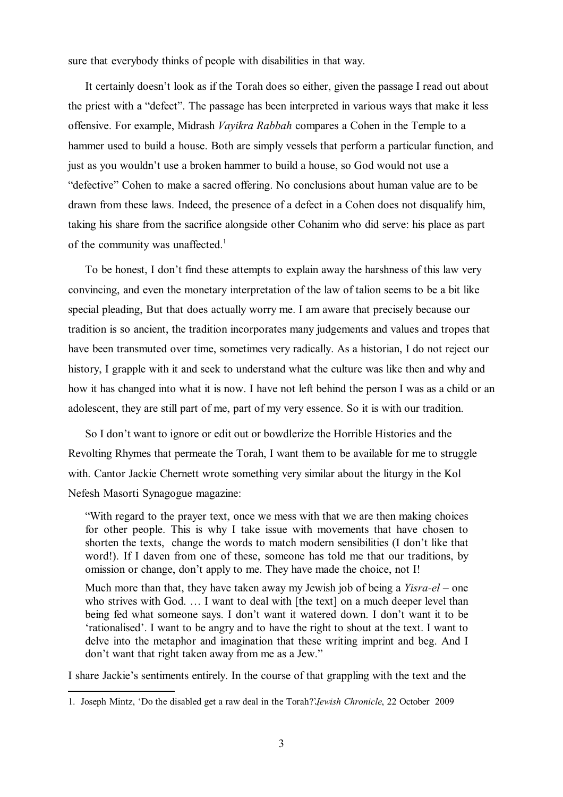sure that everybody thinks of people with disabilities in that way.

It certainly doesn't look as if the Torah does so either, given the passage I read out about the priest with a "defect". The passage has been interpreted in various ways that make it less offensive. For example, Midrash *Vayikra Rabbah* compares a Cohen in the Temple to a hammer used to build a house. Both are simply vessels that perform a particular function, and just as you wouldn't use a broken hammer to build a house, so God would not use a "defective" Cohen to make a sacred offering. No conclusions about human value are to be drawn from these laws. Indeed, the presence of a defect in a Cohen does not disqualify him, taking his share from the sacrifice alongside other Cohanim who did serve: his place as part of the community was unaffected.<sup>1</sup>

To be honest, I don't find these attempts to explain away the harshness of this law very convincing, and even the monetary interpretation of the law of talion seems to be a bit like special pleading, But that does actually worry me. I am aware that precisely because our tradition is so ancient, the tradition incorporates many judgements and values and tropes that have been transmuted over time, sometimes very radically. As a historian, I do not reject our history, I grapple with it and seek to understand what the culture was like then and why and how it has changed into what it is now. I have not left behind the person I was as a child or an adolescent, they are still part of me, part of my very essence. So it is with our tradition.

So I don't want to ignore or edit out or bowdlerize the Horrible Histories and the Revolting Rhymes that permeate the Torah, I want them to be available for me to struggle with. Cantor Jackie Chernett wrote something very similar about the liturgy in the Kol Nefesh Masorti Synagogue magazine:

"With regard to the prayer text, once we mess with that we are then making choices for other people. This is why I take issue with movements that have chosen to shorten the texts, change the words to match modern sensibilities (I don't like that word!). If I daven from one of these, someone has told me that our traditions, by omission or change, don't apply to me. They have made the choice, not I!

Much more than that, they have taken away my Jewish job of being a *Yisra-el* – one who strives with God. ... I want to deal with [the text] on a much deeper level than being fed what someone says. I don't want it watered down. I don't want it to be 'rationalised'. I want to be angry and to have the right to shout at the text. I want to delve into the metaphor and imagination that these writing imprint and beg. And I don't want that right taken away from me as a Jew."

I share Jackie's sentiments entirely. In the course of that grappling with the text and the

<sup>1.</sup> Joseph Mintz, 'Do the disabled get a raw deal in the Torah?', *Jewish Chronicle*, 22 October 2009